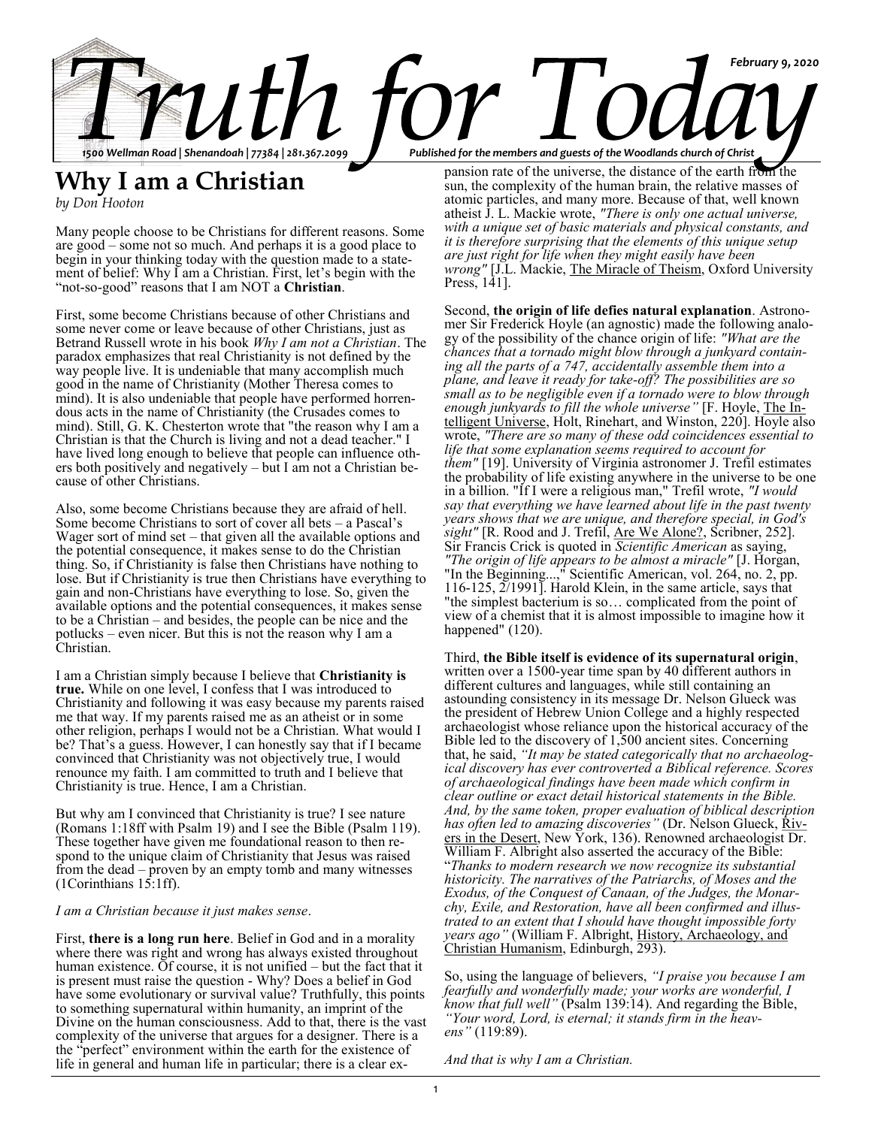

# **Why I am a Christian**

*by Don Hooton*

Many people choose to be Christians for different reasons. Some are good – some not so much. And perhaps it is a good place to begin in your thinking today with the question made to a statement of belief: Why I am a Christian. First, let's begin with the "not-so-good" reasons that I am NOT a **Christian**.

First, some become Christians because of other Christians and some never come or leave because of other Christians, just as Betrand Russell wrote in his book *Why I am not a Christian*. The paradox emphasizes that real Christianity is not defined by the way people live. It is undeniable that many accomplish much good in the name of Christianity (Mother Theresa comes to mind). It is also undeniable that people have performed horrendous acts in the name of Christianity (the Crusades comes to mind). Still, G. K. Chesterton wrote that "the reason why I am a Christian is that the Church is living and not a dead teacher." I have lived long enough to believe that people can influence others both positively and negatively – but I am not a Christian because of other Christians.

Also, some become Christians because they are afraid of hell. Some become Christians to sort of cover all bets – a Pascal's Wager sort of mind set – that given all the available options and the potential consequence, it makes sense to do the Christian thing. So, if Christianity is false then Christians have nothing to lose. But if Christianity is true then Christians have everything to gain and non-Christians have everything to lose. So, given the available options and the potential consequences, it makes sense to be a Christian – and besides, the people can be nice and the potlucks – even nicer. But this is not the reason why I am a Christian.

I am a Christian simply because I believe that **Christianity is true.** While on one level, I confess that I was introduced to Christianity and following it was easy because my parents raised me that way. If my parents raised me as an atheist or in some other religion, perhaps I would not be a Christian. What would I be? That's a guess. However, I can honestly say that if I became convinced that Christianity was not objectively true, I would renounce my faith. I am committed to truth and I believe that Christianity is true. Hence, I am a Christian.

But why am I convinced that Christianity is true? I see nature (Romans 1:18ff with Psalm 19) and I see the Bible (Psalm 119). These together have given me foundational reason to then respond to the unique claim of Christianity that Jesus was raised from the dead – proven by an empty tomb and many witnesses  $(1$ Corinthians  $15:1$  ff).

*I am a Christian because it just makes sense*.

First, **there is a long run here**. Belief in God and in a morality where there was right and wrong has always existed throughout human existence. Of course, it is not unified – but the fact that it is present must raise the question - Why? Does a belief in God have some evolutionary or survival value? Truthfully, this points to something supernatural within humanity, an imprint of the Divine on the human consciousness. Add to that, there is the vast complexity of the universe that argues for a designer. There is a the "perfect" environment within the earth for the existence of life in general and human life in particular; there is a clear ex-

pansion rate of the universe, the distance of the earth from the sun, the complexity of the human brain, the relative masses of atomic particles, and many more. Because of that, well known atheist J. L. Mackie wrote, *"There is only one actual universe, with a unique set of basic materials and physical constants, and it is therefore surprising that the elements of this unique setup are just right for life when they might easily have been wrong"* [J.L. Mackie, The Miracle of Theism, Oxford University Press, 141].

Second, **the origin of life defies natural explanation**. Astronomer Sir Frederick Hoyle (an agnostic) made the following analogy of the possibility of the chance origin of life: *"What are the chances that a tornado might blow through a junkyard containing all the parts of a 747, accidentally assemble them into a plane, and leave it ready for take-off? The possibilities are so small as to be negligible even if a tornado were to blow through enough junkyards to fill the whole universe"* [F. Hoyle, The Intelligent Universe, Holt, Rinehart, and Winston, 220]. Hoyle also wrote, *"There are so many of these odd coincidences essential to life that some explanation seems required to account for them"* [19]. University of Virginia astronomer J. Trefil estimates the probability of life existing anywhere in the universe to be one in a billion. "If I were a religious man," Trefil wrote, *"I would say that everything we have learned about life in the past twenty years shows that we are unique, and therefore special, in God's sight"* [R. Rood and J. Trefil, Are We Alone?, Scribner, 252]. Sir Francis Crick is quoted in *Scientific American* as saying, *"The origin of life appears to be almost a miracle"* [J. Horgan, "In the Beginning...," Scientific American, vol. 264, no. 2, pp. 116-125, 2/1991]. Harold Klein, in the same article, says that "the simplest bacterium is so… complicated from the point of view of a chemist that it is almost impossible to imagine how it happened" (120).

Third, **the Bible itself is evidence of its supernatural origin**, written over a 1500-year time span by 40 different authors in different cultures and languages, while still containing an astounding consistency in its message Dr. Nelson Glueck was the president of Hebrew Union College and a highly respected archaeologist whose reliance upon the historical accuracy of the Bible led to the discovery of 1,500 ancient sites. Concerning that, he said, *"It may be stated categorically that no archaeological discovery has ever controverted a Biblical reference. Scores of archaeological findings have been made which confirm in clear outline or exact detail historical statements in the Bible. And, by the same token, proper evaluation of biblical description has often led to amazing discoveries* " (Dr. Nelson Glueck, Rivers in the Desert, New York, 136). Renowned archaeologist Dr. William F. Albright also asserted the accuracy of the Bible: "*Thanks to modern research we now recognize its substantial historicity. The narratives of the Patriarchs, of Moses and the Exodus, of the Conquest of Canaan, of the Judges, the Monarchy, Exile, and Restoration, have all been confirmed and illustrated to an extent that I should have thought impossible forty years ago"* (William F. Albright, History, Archaeology, and Christian Humanism, Edinburgh, 293).

So, using the language of believers, *"I praise you because I am fearfully and wonderfully made; your works are wonderful, I know that full well"* (Psalm 139:14). And regarding the Bible, *"Your word, Lord, is eternal; it stands firm in the heavens"* (119:89).

*And that is why I am a Christian.*